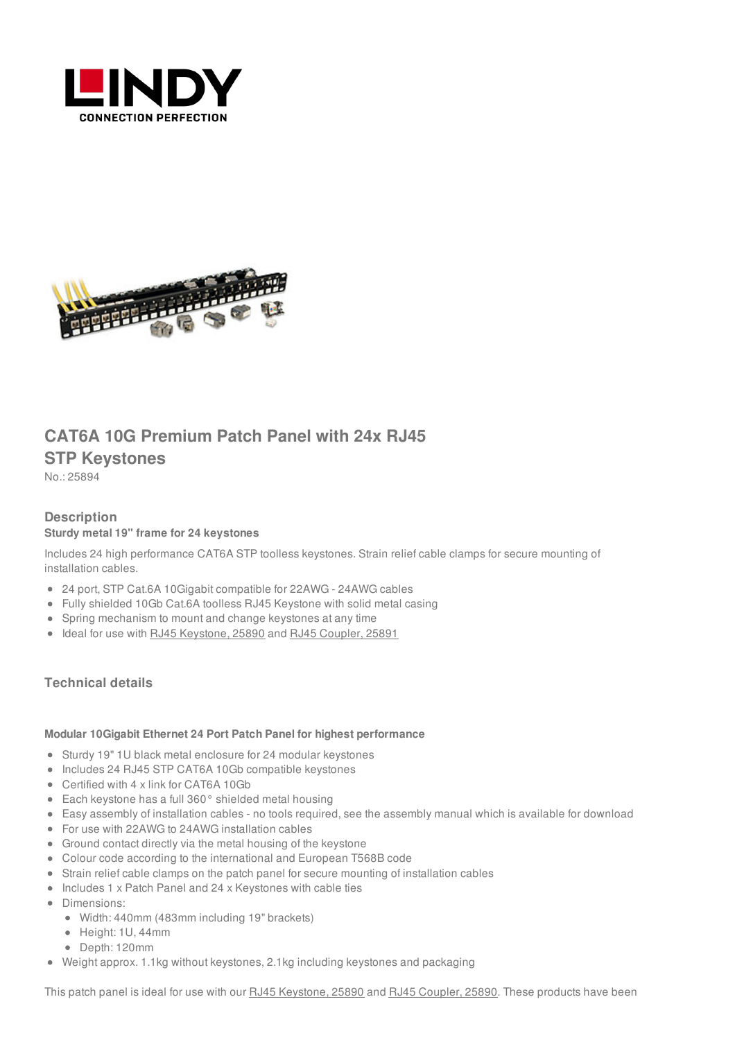



# **CAT6A 10G Premium Patch Panel with 24x RJ45 STP Keystones**

No.: 25894

## **Description**

### **Sturdy metal 19" frame for 24 keystones**

Includes 24 high performance CAT6A STP toolless keystones. Strain relief cable clamps for secure mounting of installation cables.

- 24 port, STP Cat.6A 10Gigabit compatible for 22AWG 24AWG cables
- Fully shielded 10Gb Cat.6A toolless RJ45 Keystone with solid metal casing
- Spring mechanism to mount and change keystones at any time
- Ideal for use with RJ45 [Keystone,](https://www.lindy-international.com/Cat-6A-10G-Premium-RJ45-STP-Keystone.htm?websale8=ld0101.ld020102&pi=25890) 25890 and RJ45 [Coupler,](https://www.lindy-international.com/Cat-6A-10G-Premium-RJ45-STP-Inline-Coupler.htm?websale8=ld0101.ld020102&pi=25891) 25891

### **Technical details**

#### **Modular 10Gigabit Ethernet 24 Port Patch Panel for highest performance**

- Sturdy 19" 1U black metal enclosure for 24 modular keystones
- Includes 24 RJ45 STP CAT6A 10Gb compatible keystones
- Certified with 4 x link for CAT6A 10Gb
- Each keystone has a full 360° shielded metal housing
- Easy assembly of installation cables no tools required, see the assembly manual which is available for download
- For use with 22AWG to 24AWG installation cables
- Ground contact directly via the metal housing of the keystone
- Colour code according to the international and European T568B code
- Strain relief cable clamps on the patch panel for secure mounting of installation cables
- Includes 1 x Patch Panel and 24 x Keystones with cable ties
- Dimensions:
	- Width: 440mm (483mm including 19" brackets)
	- Height: 1U, 44mm
	- Depth: 120mm
- Weight approx. 1.1kg without keystones, 2.1kg including keystones and packaging

This patch panel is ideal for use with our RJ45 [Keystone,](https://www.lindy-international.com/CAT6A-10G-Premium-Patch-Panel-with-24x-RJ45-STP-Keystones.htm?websale8=ld0101.ld020102&pi=25894) 25890 and RJ45 [Coupler,](https://www.lindy-international.com/Cat-6A-10G-Premium-RJ45-STP-Inline-Coupler.htm?websale8=ld0101.ld020102&pi=25891) 25890. These products have been